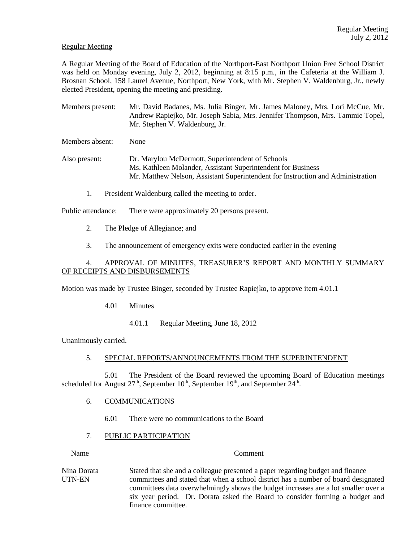## Regular Meeting

A Regular Meeting of the Board of Education of the Northport-East Northport Union Free School District was held on Monday evening, July 2, 2012, beginning at 8:15 p.m., in the Cafeteria at the William J. Brosnan School, 158 Laurel Avenue, Northport, New York, with Mr. Stephen V. Waldenburg, Jr., newly elected President, opening the meeting and presiding.

Members present: Mr. David Badanes, Ms. Julia Binger, Mr. James Maloney, Mrs. Lori McCue, Mr. Andrew Rapiejko, Mr. Joseph Sabia, Mrs. Jennifer Thompson, Mrs. Tammie Topel, Mr. Stephen V. Waldenburg, Jr.

Members absent: None

Also present: Dr. Marylou McDermott, Superintendent of Schools Ms. Kathleen Molander, Assistant Superintendent for Business Mr. Matthew Nelson, Assistant Superintendent for Instruction and Administration

1. President Waldenburg called the meeting to order.

Public attendance: There were approximately 20 persons present.

- 2. The Pledge of Allegiance; and
- 3. The announcement of emergency exits were conducted earlier in the evening

# 4. APPROVAL OF MINUTES, TREASURER'S REPORT AND MONTHLY SUMMARY OF RECEIPTS AND DISBURSEMENTS

Motion was made by Trustee Binger, seconded by Trustee Rapiejko, to approve item 4.01.1

- 4.01 Minutes
	- 4.01.1 Regular Meeting, June 18, 2012

Unanimously carried.

## 5. SPECIAL REPORTS/ANNOUNCEMENTS FROM THE SUPERINTENDENT

5.01 The President of the Board reviewed the upcoming Board of Education meetings scheduled for August  $27<sup>th</sup>$ , September  $10<sup>th</sup>$ , September  $19<sup>th</sup>$ , and September  $24<sup>th</sup>$ .

### 6. COMMUNICATIONS

6.01 There were no communications to the Board

### 7. PUBLIC PARTICIPATION

Name Comment

Nina Dorata Stated that she and a colleague presented a paper regarding budget and finance UTN-EN committees and stated that when a school district has a number of board designated committees data overwhelmingly shows the budget increases are a lot smaller over a six year period. Dr. Dorata asked the Board to consider forming a budget and finance committee.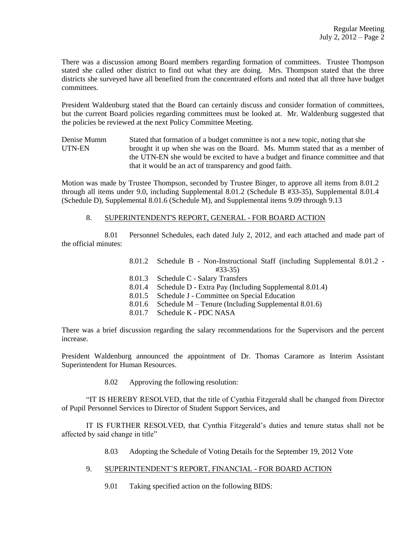There was a discussion among Board members regarding formation of committees. Trustee Thompson stated she called other district to find out what they are doing. Mrs. Thompson stated that the three districts she surveyed have all benefited from the concentrated efforts and noted that all three have budget committees.

President Waldenburg stated that the Board can certainly discuss and consider formation of committees, but the current Board policies regarding committees must be looked at. Mr. Waldenburg suggested that the policies be reviewed at the next Policy Committee Meeting.

Denise Mumm Stated that formation of a budget committee is not a new topic, noting that she UTN-EN brought it up when she was on the Board. Ms. Mumm stated that as a member of the UTN-EN she would be excited to have a budget and finance committee and that that it would be an act of transparency and good faith.

Motion was made by Trustee Thompson, seconded by Trustee Binger, to approve all items from 8.01.2 through all items under 9.0, including Supplemental 8.01.2 (Schedule B #33-35), Supplemental 8.01.4 (Schedule D), Supplemental 8.01.6 (Schedule M), and Supplemental items 9.09 through 9.13

### 8. SUPERINTENDENT'S REPORT, GENERAL - FOR BOARD ACTION

8.01 Personnel Schedules, each dated July 2, 2012, and each attached and made part of the official minutes:

| 8.01.2 Schedule B - Non-Instructional Staff (including Supplemental 8.01.2 - |
|------------------------------------------------------------------------------|
| $#33-35)$                                                                    |
| 8.01.3 Schedule C - Salary Transfers                                         |
| 8.01.4 Schedule D - Extra Pay (Including Supplemental 8.01.4)                |
| 8.01.5 Schedule J - Committee on Special Education                           |
| 8.01.6 Schedule M – Tenure (Including Supplemental 8.01.6)                   |
| 8.01.7 Schedule K - PDC NASA                                                 |

There was a brief discussion regarding the salary recommendations for the Supervisors and the percent increase.

President Waldenburg announced the appointment of Dr. Thomas Caramore as Interim Assistant Superintendent for Human Resources.

8.02 Approving the following resolution:

"IT IS HEREBY RESOLVED, that the title of Cynthia Fitzgerald shall be changed from Director of Pupil Personnel Services to Director of Student Support Services, and

IT IS FURTHER RESOLVED, that Cynthia Fitzgerald's duties and tenure status shall not be affected by said change in title"

- 8.03 Adopting the Schedule of Voting Details for the September 19, 2012 Vote
- 9. SUPERINTENDENT'S REPORT, FINANCIAL FOR BOARD ACTION
	- 9.01 Taking specified action on the following BIDS: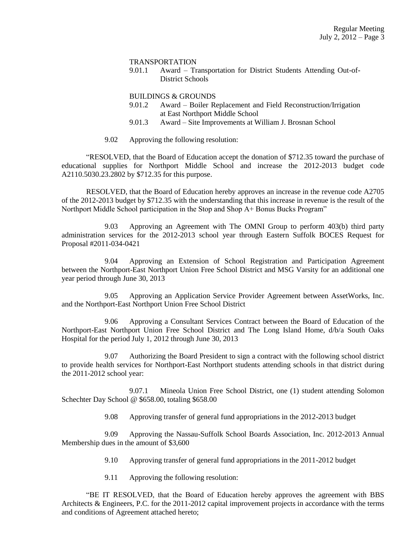#### TRANSPORTATION

9.01.1 Award – Transportation for District Students Attending Out-of-District Schools

#### BUILDINGS & GROUNDS

- 9.01.2 Award Boiler Replacement and Field Reconstruction/Irrigation at East Northport Middle School
- 9.01.3 Award Site Improvements at William J. Brosnan School
- 9.02 Approving the following resolution:

"RESOLVED, that the Board of Education accept the donation of \$712.35 toward the purchase of educational supplies for Northport Middle School and increase the 2012-2013 budget code A2110.5030.23.2802 by \$712.35 for this purpose.

RESOLVED, that the Board of Education hereby approves an increase in the revenue code A2705 of the 2012-2013 budget by \$712.35 with the understanding that this increase in revenue is the result of the Northport Middle School participation in the Stop and Shop A+ Bonus Bucks Program"

9.03 Approving an Agreement with The OMNI Group to perform 403(b) third party administration services for the 2012-2013 school year through Eastern Suffolk BOCES Request for Proposal #2011-034-0421

9.04 Approving an Extension of School Registration and Participation Agreement between the Northport-East Northport Union Free School District and MSG Varsity for an additional one year period through June 30, 2013

9.05 Approving an Application Service Provider Agreement between AssetWorks, Inc. and the Northport-East Northport Union Free School District

9.06 Approving a Consultant Services Contract between the Board of Education of the Northport-East Northport Union Free School District and The Long Island Home, d/b/a South Oaks Hospital for the period July 1, 2012 through June 30, 2013

9.07 Authorizing the Board President to sign a contract with the following school district to provide health services for Northport-East Northport students attending schools in that district during the 2011-2012 school year:

9.07.1 Mineola Union Free School District, one (1) student attending Solomon Schechter Day School @ \$658.00, totaling \$658.00

9.08 Approving transfer of general fund appropriations in the 2012-2013 budget

9.09 Approving the Nassau-Suffolk School Boards Association, Inc. 2012-2013 Annual Membership dues in the amount of \$3,600

- 9.10 Approving transfer of general fund appropriations in the 2011-2012 budget
- 9.11 Approving the following resolution:

"BE IT RESOLVED, that the Board of Education hereby approves the agreement with BBS Architects & Engineers, P.C. for the 2011-2012 capital improvement projects in accordance with the terms and conditions of Agreement attached hereto;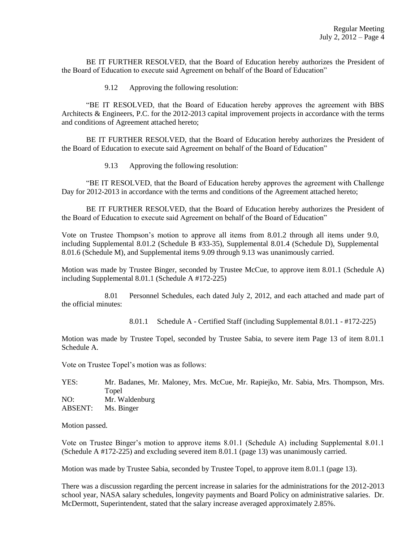BE IT FURTHER RESOLVED, that the Board of Education hereby authorizes the President of the Board of Education to execute said Agreement on behalf of the Board of Education"

9.12 Approving the following resolution:

"BE IT RESOLVED, that the Board of Education hereby approves the agreement with BBS Architects & Engineers, P.C. for the 2012-2013 capital improvement projects in accordance with the terms and conditions of Agreement attached hereto;

BE IT FURTHER RESOLVED, that the Board of Education hereby authorizes the President of the Board of Education to execute said Agreement on behalf of the Board of Education"

9.13 Approving the following resolution:

"BE IT RESOLVED, that the Board of Education hereby approves the agreement with Challenge Day for 2012-2013 in accordance with the terms and conditions of the Agreement attached hereto;

BE IT FURTHER RESOLVED, that the Board of Education hereby authorizes the President of the Board of Education to execute said Agreement on behalf of the Board of Education"

Vote on Trustee Thompson's motion to approve all items from 8.01.2 through all items under 9.0, including Supplemental 8.01.2 (Schedule B #33-35), Supplemental 8.01.4 (Schedule D), Supplemental 8.01.6 (Schedule M), and Supplemental items 9.09 through 9.13 was unanimously carried.

Motion was made by Trustee Binger, seconded by Trustee McCue, to approve item 8.01.1 (Schedule A) including Supplemental 8.01.1 (Schedule A #172-225)

8.01 Personnel Schedules, each dated July 2, 2012, and each attached and made part of the official minutes:

8.01.1 Schedule A - Certified Staff (including Supplemental 8.01.1 - #172-225)

Motion was made by Trustee Topel, seconded by Trustee Sabia, to severe item Page 13 of item 8.01.1 Schedule A.

Vote on Trustee Topel's motion was as follows:

YES: Mr. Badanes, Mr. Maloney, Mrs. McCue, Mr. Rapiejko, Mr. Sabia, Mrs. Thompson, Mrs. Topel NO: Mr. Waldenburg ABSENT: Ms. Binger

Motion passed.

Vote on Trustee Binger's motion to approve items 8.01.1 (Schedule A) including Supplemental 8.01.1 (Schedule A #172-225) and excluding severed item 8.01.1 (page 13) was unanimously carried.

Motion was made by Trustee Sabia, seconded by Trustee Topel, to approve item 8.01.1 (page 13).

There was a discussion regarding the percent increase in salaries for the administrations for the 2012-2013 school year, NASA salary schedules, longevity payments and Board Policy on administrative salaries. Dr. McDermott, Superintendent, stated that the salary increase averaged approximately 2.85%.